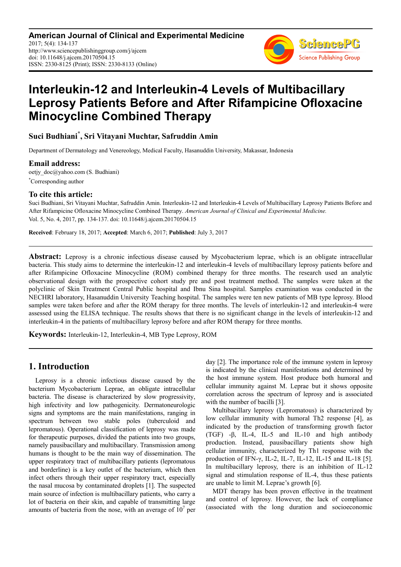**American Journal of Clinical and Experimental Medicine** 2017; 5(4): 134-137 http://www.sciencepublishinggroup.com/j/ajcem doi: 10.11648/j.ajcem.20170504.15 ISSN: 2330-8125 (Print); ISSN: 2330-8133 (Online)



# **Interleukin-12 and Interleukin-4 Levels of Multibacillary Leprosy Patients Before and After Rifampicine Ofloxacine Minocycline Combined Therapy**

**Suci Budhiani\* , Sri Vitayani Muchtar, Safruddin Amin**

Department of Dermatology and Venereology, Medical Faculty, Hasanuddin University, Makassar, Indonesia

#### **Email address:**

oetjy\_doc@yahoo.com (S. Budhiani) \*Corresponding author

#### **To cite this article:**

Suci Budhiani, Sri Vitayani Muchtar, Safruddin Amin. Interleukin-12 and Interleukin-4 Levels of Multibacillary Leprosy Patients Before and After Rifampicine Ofloxacine Minocycline Combined Therapy. *American Journal of Clinical and Experimental Medicine.*  Vol. 5, No. 4, 2017, pp. 134-137. doi: 10.11648/j.ajcem.20170504.15

**Received**: February 18, 2017; **Accepted**: March 6, 2017; **Published**: July 3, 2017

**Abstract:** Leprosy is a chronic infectious disease caused by Mycobacterium leprae, which is an obligate intracellular bacteria. This study aims to determine the interleukin-12 and interleukin-4 levels of multibacillary leprosy patients before and after Rifampicine Ofloxacine Minocycline (ROM) combined therapy for three months. The research used an analytic observational design with the prospective cohort study pre and post treatment method. The samples were taken at the polyclinic of Skin Treatment Central Public hospital and Ibnu Sina hospital. Samples examination was conducted in the NECHRI laboratory, Hasanuddin University Teaching hospital. The samples were ten new patients of MB type leprosy. Blood samples were taken before and after the ROM therapy for three months. The levels of interleukin-12 and interleukin-4 were assessed using the ELISA technique. The results shows that there is no significant change in the levels of interleukin-12 and interleukin-4 in the patients of multibacillary leprosy before and after ROM therapy for three months.

**Keywords:** Interleukin-12, Interleukin-4, MB Type Leprosy, ROM

### **1. Introduction**

Leprosy is a chronic infectious disease caused by the bacterium Mycobacterium Leprae, an obligate intracellular bacteria. The disease is characterized by slow progressivity, high infectivity and low pathogenicity. Dermatoneurologic signs and symptoms are the main manifestations, ranging in spectrum between two stable poles (tuberculoid and lepromatous). Operational classification of leprosy was made for therapeutic purposes, divided the patients into two groups, namely pausibacillary and multibacillary. Transmission among humans is thought to be the main way of dissemination. The upper respiratory tract of multibacillary patients (lepromatous and borderline) is a key outlet of the bacterium, which then infect others through their upper respiratory tract, especially the nasal mucosa by contaminated droplets [1]. The suspected main source of infection is multibacillary patients, who carry a lot of bacteria on their skin, and capable of transmitting large amounts of bacteria from the nose, with an average of  $10<sup>7</sup>$  per day [2]. The importance role of the immune system in leprosy is indicated by the clinical manifestations and determined by the host immune system. Host produce both humoral and cellular immunity against M. Leprae but it shows opposite correlation across the spectrum of leprosy and is associated with the number of bacilli [3].

Multibacillary leprosy (Lepromatous) is characterized by low cellular immunity with humoral Th2 response [4], as indicated by the production of transforming growth factor (TGF) -β, IL-4, IL-5 and IL-10 and high antibody production. Instead, pausibacillary patients show high cellular immunity, characterized by Th1 response with the production of IFN-γ, IL-2, IL-7, IL-12, IL-15 and IL-18 [5]. In multibacillary leprosy, there is an inhibition of IL-12 signal and stimulation response of IL-4, thus these patients are unable to limit M. Leprae's growth [6].

MDT therapy has been proven effective in the treatment and control of leprosy. However, the lack of compliance (associated with the long duration and socioeconomic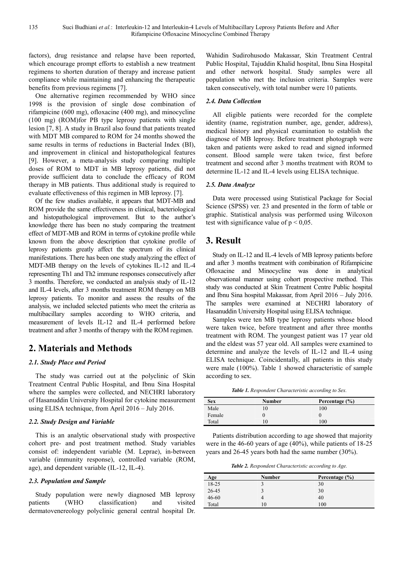factors), drug resistance and relapse have been reported, which encourage prompt efforts to establish a new treatment regimens to shorten duration of therapy and increase patient compliance while maintaining and enhancing the therapeutic benefits from previous regimens [7].

One alternative regimen recommended by WHO since 1998 is the provision of single dose combination of rifampicine (600 mg), ofloxacine (400 mg), and minocycline (100 mg) (ROM)for PB type leprosy patients with single lesion [7, 8]. A study in Brazil also found that patients treated with MDT MB compared to ROM for 24 months showed the same results in terms of reductions in Bacterial Index (BI), and improvement in clinical and histopathological features [9]. However, a meta-analysis study comparing multiple doses of ROM to MDT in MB leprosy patients, did not provide sufficient data to conclude the efficacy of ROM therapy in MB patients. Thus additional study is required to evaluate effectiveness of this regimen in MB leprosy. [7].

Of the few studies available, it appears that MDT-MB and ROM provide the same effectiveness in clinical, bacteriological and histopathological improvement. But to the author's knowledge there has been no study comparing the treatment effect of MDT-MB and ROM in terms of cytokine profile while known from the above description that cytokine profile of leprosy patients greatly affect the spectrum of its clinical manifestations. There has been one study analyzing the effect of MDT-MB therapy on the levels of cytokines IL-12 and IL-4 representing Th1 and Th2 immune responses consecutively after 3 months. Therefore, we conducted an analysis study of IL-12 and IL-4 levels, after 3 months treatment ROM therapy on MB leprosy patients. To monitor and assess the results of the analysis, we included selected patients who meet the criteria as multibacillary samples according to WHO criteria, and measurement of levels IL-12 and IL-4 performed before treatment and after 3 months of therapy with the ROM regimen.

# **2. Materials and Methods**

#### *2.1. Study Place and Period*

The study was carried out at the polyclinic of Skin Treatment Central Public Hospital, and Ibnu Sina Hospital where the samples were collected, and NECHRI laboratory of Hasanuddin University Hospital for cytokine measurement using ELISA technique, from April 2016 – July 2016.

#### *2.2. Study Design and Variable*

This is an analytic observational study with prospective cohort pre- and post treatment method. Study variables consist of: independent variable (M. Leprae), in-between variable (immunity response), controlled variable (ROM, age), and dependent variable (IL-12, IL-4).

#### *2.3. Population and Sample*

Study population were newly diagnosed MB leprosy patients (WHO classification) and visited dermatovenereology polyclinic general central hospital Dr. Wahidin Sudirohusodo Makassar, Skin Treatment Central Public Hospital, Tajuddin Khalid hospital, Ibnu Sina Hospital and other network hospital. Study samples were all population who met the inclusion criteria. Samples were taken consecutively, with total number were 10 patients.

#### *2.4. Data Collection*

All eligible patients were recorded for the complete identity (name, registration number, age, gender, address), medical history and physical examination to establish the diagnose of MB leprosy. Before treatment photograph were taken and patients were asked to read and signed informed consent. Blood sample were taken twice, first before treatment and second after 3 months treatment with ROM to determine IL-12 and IL-4 levels using ELISA technique.

#### *2.5. Data Analyze*

Data were processed using Statistical Package for Social Science (SPSS) ver. 23 and presented in the form of table or graphic. Statistical analysis was performed using Wilcoxon test with significance value of  $p < 0.05$ .

# **3. Result**

Study on IL-12 and IL-4 levels of MB leprosy patients before and after 3 months treatment with combination of Rifampicine Ofloxacine and Minocycline was done in analytical observational manner using cohort prospective method. This study was conducted at Skin Treatment Centre Public hospital and Ibnu Sina hospital Makassar, from April 2016 – July 2016. The samples were examined at NECHRI laboratory of Hasanuddin University Hospital using ELISA technique.

Samples were ten MB type leprosy patients whose blood were taken twice, before treatment and after three months treatment with ROM. The youngest patient was 17 year old and the eldest was 57 year old. All samples were examined to determine and analyze the levels of IL-12 and IL-4 using ELISA technique. Coincidentally, all patients in this study were male (100%). Table 1 showed characteristic of sample according to sex.

*Table 1. Respondent Characteristic according to Sex.* 

| <b>Sex</b> | Number | Percentage (%) |
|------------|--------|----------------|
| Male       |        | 100            |
| Female     | U      |                |
| Total      |        | 100            |

Patients distribution according to age showed that majority were in the 46-60 years of age (40%), while patients of 18-25 years and 26-45 years both had the same number (30%).

*Table 2. Respondent Characteristic according to Age.* 

| Age       | <b>Number</b> | Percentage $(\% )$ |
|-----------|---------------|--------------------|
| 18-25     |               | 30                 |
| 26-45     |               | 30                 |
| $46 - 60$ | 4             | 40                 |
| Total     | 10            | 100                |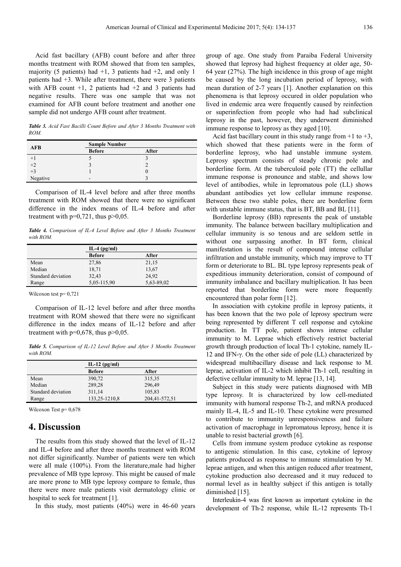Acid fast bacillary (AFB) count before and after three months treatment with ROM showed that from ten samples, majority (5 patients) had  $+1$ , 3 patients had  $+2$ , and only 1 patients had +3. While after treatment, there were 3 patients with AFB count  $+1$ , 2 patients had  $+2$  and 3 patients had negative results. There was one sample that was not examined for AFB count before treatment and another one sample did not undergo AFB count after treatment.

*Table 3. Acid Fast Bacilli Count Before and After 3 Months Treatment with ROM.* 

| <b>AFB</b>   | <b>Sample Number</b> |       |
|--------------|----------------------|-------|
|              | <b>Before</b>        | After |
| $+1$         |                      |       |
| $+2$<br>$+3$ |                      |       |
|              |                      |       |
| Negative     | -                    |       |

Comparison of IL-4 level before and after three months treatment with ROM showed that there were no significant difference in the index means of IL-4 before and after treatment with  $p=0,721$ , thus  $p>0,05$ .

*Table 4. Comparison of IL-4 Level Before and After 3 Months Treatment with ROM.* 

| $IL-4$ (pg/ml) |            |
|----------------|------------|
| <b>Before</b>  | After      |
| 27,86          | 21,15      |
| 18,71          | 13,67      |
| 32,43          | 24,92      |
| 5,05-115,90    | 5,63-89,02 |
|                |            |

Wilcoxon test p= 0,721

Comparison of IL-12 level before and after three months treatment with ROM showed that there were no significant difference in the index means of IL-12 before and after treatment with  $p=0,678$ , thus  $p>0,05$ .

*Table 5. Comparison of IL-12 Level Before and After 3 Months Treatment with ROM.* 

|                    | IL-12 $(pg/ml)$ |               |
|--------------------|-----------------|---------------|
|                    | <b>Before</b>   | After         |
| Mean               | 390,72          | 315,35        |
| Median             | 289,28          | 296,49        |
| Standard deviation | 311,14          | 105,83        |
| Range              | 133, 25-1210, 8 | 204,41-572,51 |

Wilcoxon Test p=  $0.678$ 

### **4. Discussion**

The results from this study showed that the level of IL-12 and IL-4 before and after three months treatment with ROM not differ siginificantly. Number of patients were ten which were all male (100%). From the literature,male had higher prevalence of MB type leprosy. This might be caused of male are more prone to MB type leprosy compare to female, thus there were more male patients visit dermatology clinic or hospital to seek for treatment [1].

In this study, most patients (40%) were in 46-60 years

group of age. One study from Paraiba Federal University showed that leprosy had highest frequency at older age, 50- 64 year (27%). The high incidence in this group of age might be caused by the long incubation period of leprosy, with mean duration of 2-7 years [1]. Another explanation on this phenomena is that leprosy occured in older population who lived in endemic area were frequently caused by reinfection or superinfection from people who had had subclinical leprosy in the past, however, they underwent diminished immune response to leprosy as they aged [10].

Acid fast bacillary count in this study range from  $+1$  to  $+3$ , which showed that these patients were in the form of borderline leprosy, who had unstable immune system. Leprosy spectrum consists of steady chronic pole and borderline form. At the tuberculoid pole (TT) the cellullar immune response is pronounce and stable, and shows low level of antibodies, while in lepromatous pole (LL) shows abundant antibodies yet low cellular immune response. Between these two stable poles, there are borderline form with unstable immune status, that is BT, BB and BL [11].

Borderline leprosy (BB) represents the peak of unstable immunity. The balance between bacillary multiplication and cellular immunity is so tenous and are seldom settle in without one surpassing another. In BT form, clinical manifestation is the result of compound intense cellular infiltration and unstable immunity, which may improve to TT form or deteriorate to BL. BL type leprosy represents peak of expeditious immunity deterioration, consist of compound of immunity imbalance and bacillary multiplication. It has been reported that borderline form were more frequently encountered than polar form [12].

In association with cytokine profile in leprosy patients, it has been known that the two pole of leprosy spectrum were being represented by different T cell response and cytokine production. In TT pole, patient shows intense cellular immunity to M. Leprae which effectively restrict bacterial growth through production of local Th-1 cytokine, namely IL-12 and IFN-γ. On the other side of pole (LL) characterized by widespread multibacillary disease and lack response to M. leprae, activation of IL-2 which inhibit Th-1 cell, resulting in defective cellular immunity to M. leprae [13, 14].

Subject in this study were patients diagnosed with MB type leprosy. It is characterized by low cell-mediated immunity with humoral response Th-2, and mRNA produced mainly IL-4, IL-5 and IL-10. These cytokine were presumed to contribute to immunity unresponsiveness and failure activation of macrophage in lepromatous leprosy, hence it is unable to resist bacterial growth [6].

Cells from immune system produce cytokine as response to antigenic stimulation. In this case, cytokine of leprosy patients produced as response to immune stimulation by M. leprae antigen, and when this antigen reduced after treatment, cytokine production also decreased and it may reduced to normal level as in healthy subject if this antigen is totally diminished [15].

Interleukin-4 was first known as important cytokine in the development of Th-2 response, while IL-12 represents Th-1